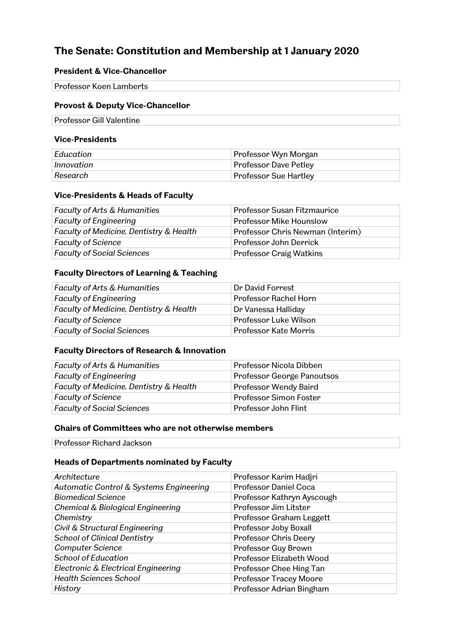# **The Senate: Constitution and Membership at 1 January 2020**

### **President & Vice-Chancellor**

Professor Koen Lamberts

### **Provost & Deputy Vice-Chancellor**

Professor Gill Valentine

#### **Vice-Presidents**

| Education  | Professor Wyn Morgan         |
|------------|------------------------------|
| Innovation | <b>Professor Dave Petley</b> |
| Research   | <b>Professor Sue Hartley</b> |

#### **Vice-Presidents & Heads of Faculty**

| <b>Faculty of Arts &amp; Humanities</b> | <b>Professor Susan Fitzmaurice</b> |
|-----------------------------------------|------------------------------------|
| <b>Faculty of Engineering</b>           | <b>Professor Mike Hounslow</b>     |
| Faculty of Medicine, Dentistry & Health | Professor Chris Newman (Interim)   |
| <b>Faculty of Science</b>               | Professor John Derrick             |
| <b>Faculty of Social Sciences</b>       | <b>Professor Craig Watkins</b>     |

#### **Faculty Directors of Learning & Teaching**

| <b>Faculty of Arts &amp; Humanities</b> | Dr David Forrest      |
|-----------------------------------------|-----------------------|
| <b>Faculty of Engineering</b>           | Professor Rachel Horn |
| Faculty of Medicine, Dentistry & Health | Dr Vanessa Halliday   |
| <b>Faculty of Science</b>               | Professor Luke Wilson |
| <b>Faculty of Social Sciences</b>       | Professor Kate Morris |

#### **Faculty Directors of Research & Innovation**

| <b>Faculty of Arts &amp; Humanities</b> | Professor Nicola Dibben    |
|-----------------------------------------|----------------------------|
| <b>Faculty of Engineering</b>           | Professor George Panoutsos |
| Faculty of Medicine, Dentistry & Health | Professor Wendy Baird      |
| <b>Faculty of Science</b>               | Professor Simon Foster     |
| <b>Faculty of Social Sciences</b>       | Professor John Flint       |

### **Chairs of Committees who are not otherwise members**

Professor Richard Jackson

#### **Heads of Departments nominated by Faculty**

| Architecture                                 | Professor Karim Hadjri        |
|----------------------------------------------|-------------------------------|
| Automatic Control & Systems Engineering      | Professor Daniel Coca         |
| <b>Biomedical Science</b>                    | Professor Kathryn Ayscough    |
| <b>Chemical &amp; Biological Engineering</b> | Professor Jim Litster         |
| Chemistry                                    | Professor Graham Leggett      |
| Civil & Structural Engineering               | Professor Joby Boxall         |
| <b>School of Clinical Dentistry</b>          | Professor Chris Deery         |
| <b>Computer Science</b>                      | Professor Guy Brown           |
| <b>School of Education</b>                   | Professor Elizabeth Wood      |
| Electronic & Electrical Engineering          | Professor Chee Hing Tan       |
| <b>Health Sciences School</b>                | <b>Professor Tracey Moore</b> |
| History                                      | Professor Adrian Bingham      |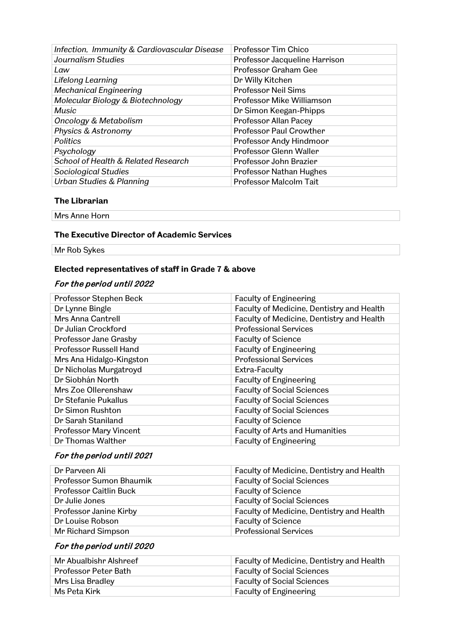| Infection, Immunity & Cardiovascular Disease | Professor Tim Chico            |
|----------------------------------------------|--------------------------------|
| Journalism Studies                           | Professor Jacqueline Harrison  |
| Law                                          | Professor Graham Gee           |
| Lifelong Learning                            | Dr Willy Kitchen               |
| <b>Mechanical Engineering</b>                | <b>Professor Neil Sims</b>     |
| Molecular Biology & Biotechnology            | Professor Mike Williamson      |
| Music                                        | Dr Simon Keegan-Phipps         |
| <b>Oncology &amp; Metabolism</b>             | Professor Allan Pacey          |
| Physics & Astronomy                          | <b>Professor Paul Crowther</b> |
| <b>Politics</b>                              | Professor Andy Hindmoor        |
| Psychology                                   | Professor Glenn Waller         |
| School of Health & Related Research          | Professor John Brazier         |
| Sociological Studies                         | Professor Nathan Hughes        |
| <b>Urban Studies &amp; Planning</b>          | Professor Malcolm Tait         |

#### **The Librarian**

Mrs Anne Horn

#### **The Executive Director of Academic Services**

Mr Rob Sykes

### **Elected representatives of staff in Grade 7 & above**

## For the period until 2022

| Professor Stephen Beck        | <b>Faculty of Engineering</b>             |
|-------------------------------|-------------------------------------------|
| Dr Lynne Bingle               | Faculty of Medicine, Dentistry and Health |
| Mrs Anna Cantrell             | Faculty of Medicine, Dentistry and Health |
| Dr Julian Crockford           | <b>Professional Services</b>              |
| Professor Jane Grasby         | <b>Faculty of Science</b>                 |
| <b>Professor Russell Hand</b> | <b>Faculty of Engineering</b>             |
| Mrs Ana Hidalgo-Kingston      | <b>Professional Services</b>              |
| Dr Nicholas Murgatroyd        | Extra-Faculty                             |
| Dr Siobhán North              | <b>Faculty of Engineering</b>             |
| Mrs Zoe Ollerenshaw           | <b>Faculty of Social Sciences</b>         |
| Dr Stefanie Pukallus          | <b>Faculty of Social Sciences</b>         |
| Dr Simon Rushton              | <b>Faculty of Social Sciences</b>         |
| Dr Sarah Staniland            | <b>Faculty of Science</b>                 |
| Professor Mary Vincent        | <b>Faculty of Arts and Humanities</b>     |
| Dr Thomas Walther             | <b>Faculty of Engineering</b>             |
|                               |                                           |

## For the period until 2021

| Dr Parveen Ali                | Faculty of Medicine, Dentistry and Health |
|-------------------------------|-------------------------------------------|
| Professor Sumon Bhaumik       | <b>Faculty of Social Sciences</b>         |
| <b>Professor Caitlin Buck</b> | <b>Faculty of Science</b>                 |
| Dr Julie Jones                | <b>Faculty of Social Sciences</b>         |
| Professor Janine Kirby        | Faculty of Medicine, Dentistry and Health |
| Dr Louise Robson              | <b>Faculty of Science</b>                 |
| Mr Richard Simpson            | <b>Professional Services</b>              |

# For the period until 2020

| Mr Abualbishr Alshreef | Faculty of Medicine, Dentistry and Health |
|------------------------|-------------------------------------------|
| Professor Peter Bath   | <b>Faculty of Social Sciences</b>         |
| Mrs Lisa Bradley       | <b>Faculty of Social Sciences</b>         |
| Ms Peta Kirk           | <b>Faculty of Engineering</b>             |